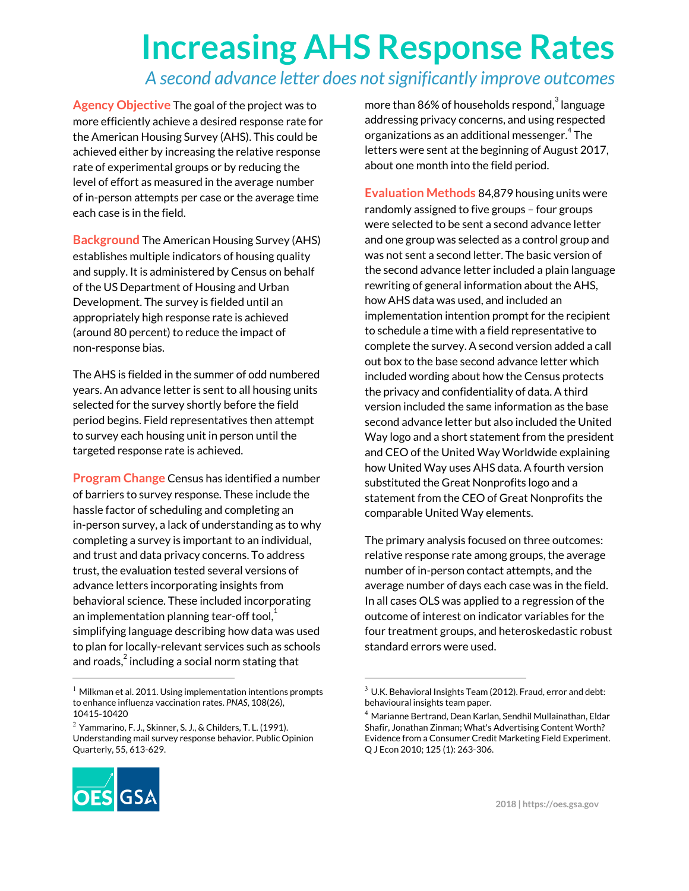## **Increasing AHS Response Rates**

## *A second advance letter does notsignificantly improve outcomes*

**Agency Objective** The goal of the project was to more efficiently achieve a desired response rate for the American Housing Survey (AHS). This could be achieved either by increasing the relative response rate of experimental groups or by reducing the level of effort as measured in the average number of in-person attempts per case or the average time each case is in the field.

**Background** The American Housing Survey (AHS) establishes multiple indicators of housing quality and supply. It is administered by Census on behalf of the US Department of Housing and Urban Development. The survey is fielded until an appropriately high response rate is achieved (around 80 percent) to reduce the impact of non-response bias.

The AHS is fielded in the summer of odd numbered years. An advance letter is sent to all housing units selected for the survey shortly before the field period begins. Field representatives then attempt to survey each housing unit in person until the targeted response rate is achieved.

**Program Change** Census has identified a number of barriers to survey response. These include the hassle factor of scheduling and completing an in-person survey, a lack of understanding as to why completing a survey is important to an individual, and trust and data privacy concerns. To address trust, the evaluation tested several versions of advance letters incorporating insights from behavioral science. These included incorporating an implementation planning tear-off tool, $^{\rm 1}$ simplifying language describing how data was used to plan for locally-relevant services such as schools and roads, $^2$  including a social norm stating that

 $2$  Yammarino, F. J., Skinner, S. J., & Childers, T. L. (1991). Understanding mail survey response behavior. Public Opinion Quarterly, 55, 613-629.



more than 86% of households respond, $^3$  language addressing privacy concerns, and using respected organizations as an additional messenger. $^{\rm 4}$  The letters were sent at the beginning of August 2017, about one month into the field period.

**Evaluation Methods** 84,879 housing units were randomly assigned to five groups – four groups were selected to be sent a second advance letter and one group was selected as a control group and was not sent a second letter. The basic version of the second advance letter included a plain language rewriting of general information about the AHS, how AHS data was used, and included an implementation intention prompt for the recipient to schedule a time with a field representative to complete the survey. A second version added a call out box to the base second advance letter which included wording about how the Census protects the privacy and confidentiality of data. A third version included the same information as the base second advance letter but also included the United Way logo and a short statement from the president and CEO of the United Way Worldwide explaining how United Way uses AHS data. A fourth version substituted the Great Nonprofits logo and a statement from the CEO of Great Nonprofits the comparable United Way elements.

The primary analysis focused on three outcomes: relative response rate among groups, the average number of in-person contact attempts, and the average number of days each case was in the field. In all cases OLS was applied to a regression of the outcome of interest on indicator variables for the four treatment groups, and heteroskedastic robust standard errors were used.

 $1$  Milkman et al. 2011. Using implementation intentions prompts to enhance influenza vaccination rates. *PNAS*, 108(26), 10415-10420

 $3$  U.K. Behavioral Insights Team (2012). Fraud, error and debt: behavioural insights team paper.

<sup>4</sup> Marianne Bertrand, Dean Karlan, Sendhil Mullainathan, Eldar Shafir, Jonathan Zinman; What's Advertising Content Worth? Evidence from a Consumer Credit Marketing Field Experiment. Q J Econ 2010; 125 (1): 263-306.